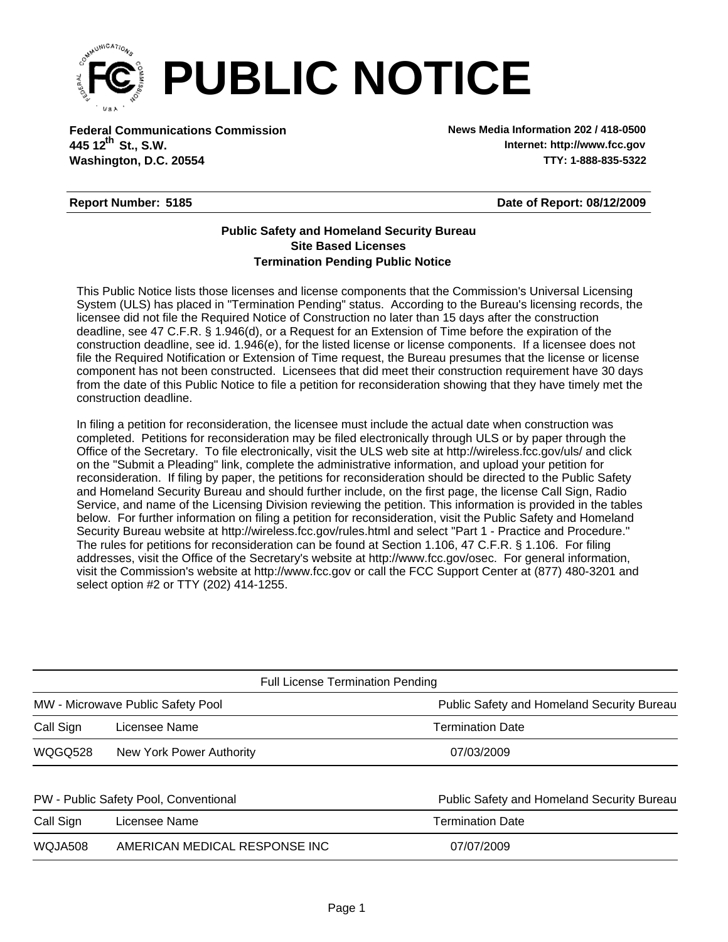

**Federal Communications Commission News Media Information 202 / 418-0500 Washington, D.C. 20554 TTY: 1-888-835-5322 445 12<sup>th</sup> St., S.W.** 

**Internet: http://www.fcc.gov**

## **Report Number: 5185**

**Date of Report: 08/12/2009**

## **Termination Pending Public Notice Site Based Licenses Public Safety and Homeland Security Bureau**

This Public Notice lists those licenses and license components that the Commission's Universal Licensing System (ULS) has placed in "Termination Pending" status. According to the Bureau's licensing records, the licensee did not file the Required Notice of Construction no later than 15 days after the construction deadline, see 47 C.F.R. § 1.946(d), or a Request for an Extension of Time before the expiration of the construction deadline, see id. 1.946(e), for the listed license or license components. If a licensee does not file the Required Notification or Extension of Time request, the Bureau presumes that the license or license component has not been constructed. Licensees that did meet their construction requirement have 30 days from the date of this Public Notice to file a petition for reconsideration showing that they have timely met the construction deadline.

In filing a petition for reconsideration, the licensee must include the actual date when construction was completed. Petitions for reconsideration may be filed electronically through ULS or by paper through the Office of the Secretary. To file electronically, visit the ULS web site at http://wireless.fcc.gov/uls/ and click on the "Submit a Pleading" link, complete the administrative information, and upload your petition for reconsideration. If filing by paper, the petitions for reconsideration should be directed to the Public Safety and Homeland Security Bureau and should further include, on the first page, the license Call Sign, Radio Service, and name of the Licensing Division reviewing the petition. This information is provided in the tables below. For further information on filing a petition for reconsideration, visit the Public Safety and Homeland Security Bureau website at http://wireless.fcc.gov/rules.html and select "Part 1 - Practice and Procedure." The rules for petitions for reconsideration can be found at Section 1.106, 47 C.F.R. § 1.106. For filing addresses, visit the Office of the Secretary's website at http://www.fcc.gov/osec. For general information, visit the Commission's website at http://www.fcc.gov or call the FCC Support Center at (877) 480-3201 and select option #2 or TTY (202) 414-1255.

| <b>Full License Termination Pending</b> |                                   |                                            |  |  |  |  |  |
|-----------------------------------------|-----------------------------------|--------------------------------------------|--|--|--|--|--|
|                                         | MW - Microwave Public Safety Pool | Public Safety and Homeland Security Bureau |  |  |  |  |  |
| Call Sign                               | Licensee Name                     | <b>Termination Date</b>                    |  |  |  |  |  |
| <b>WQGQ528</b>                          | New York Power Authority          | 07/03/2009                                 |  |  |  |  |  |
| PW - Public Safety Pool, Conventional   |                                   | Public Safety and Homeland Security Bureau |  |  |  |  |  |
| Call Sign                               | Licensee Name                     | <b>Termination Date</b>                    |  |  |  |  |  |
| WQJA508                                 | AMERICAN MEDICAL RESPONSE INC     | 07/07/2009                                 |  |  |  |  |  |